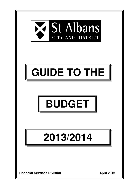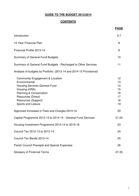# **GUIDE TO THE BUDGET 2013/2014**

# **CONTENTS**

|                                                                                                                                                                                                                           | <b>PAGE</b>                                  |
|---------------------------------------------------------------------------------------------------------------------------------------------------------------------------------------------------------------------------|----------------------------------------------|
| Introduction                                                                                                                                                                                                              | $3 - 7$                                      |
| 10 Year Financial Plan                                                                                                                                                                                                    | 8                                            |
| Financial Profile 2013-14                                                                                                                                                                                                 | 9                                            |
| <b>Summary of General Fund Budgets</b>                                                                                                                                                                                    | 10                                           |
| Summary of General Fund Budgets - Recharged to Other Services                                                                                                                                                             | 11                                           |
| Analysis of budgets by Portfolio: (2013-14 and 2014-15 Provisional)                                                                                                                                                       |                                              |
| Community Engagement & Localism<br>Environmental<br><b>Housing Services General Fund</b><br>Housing (HRA)<br><b>Planning &amp; Conservation</b><br><b>Resources (Direct)</b><br>Resources (Support)<br>Sports and Leisure | 12<br>13<br>14<br>15<br>16<br>17<br>18<br>19 |
| Approved Increases in Fees and Charges 2013-14                                                                                                                                                                            | 20                                           |
| Capital Programme 2012-13 to 2014-15 - General Fund Services                                                                                                                                                              | $21 - 22$                                    |
| Housing Investment Programme 2013-14 to 2015-16                                                                                                                                                                           | 23                                           |
| Council Tax 2012-13 to 2013-14                                                                                                                                                                                            | 24                                           |
| Council Tax Bands 2013-14                                                                                                                                                                                                 | 25                                           |
| <b>Parish Council Precepts and Special Expenses</b>                                                                                                                                                                       | 26                                           |
| <b>Glossary of Financial Terms</b>                                                                                                                                                                                        | 27-30                                        |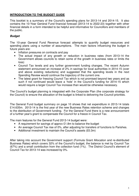# **INTRODUCTION TO THE BUDGET GUIDE**

This booklet is a summary of the Council's spending plans for 2013-14 and 2014-15. It also contains the 10-Year General Fund financial forecast (2013-14 to 2022-23) together with other financial details in a form intended to be helpful and informative for Councillors and members of the public.

# **Budget**

The 10-year General Fund Revenue forecast attempts to quantify budget resources and spending plans using a number of assumptions. The main factors influencing the budget in future years are:

- Inflation pressures on contracts and pay
- The actual impact of any growth or reduction in business rates (from 2013-14 the Government allows councils to retain some of the growth in business rates or limits the loss)
- Council Tax levels and any further government funding changes. The recent Autumn statement announced an increase of 2% in savings for local authorities in 2014-15 (over and above existing reductions) and suggested that the spending levels in the next Spending Review would continue the trajectory of the current one.
- The latest grant for freezing Council Tax which is not promised beyond two years and as such if not continued would leave a 'hole' in the Council's funding for 2014-15 which would require a larger Council Tax increase than would be otherwise necessary.

The Council's budget planning is integrated with the Corporate Plan (the corporate strategy for the Council) to ensure the allocation of the budget is linked to delivering the Council priorities.

The General Fund budget summary on page 10 shows that net expenditure in 2013-14 totals £14.635m. 2013-14 is the first year of the new Business Rates retention scheme and changes to the distribution of Government funding. For the General Fund there is a new announcement of a further year's grant to compensate the Council for a freeze in Council Tax.

The main features for the General Fund 2013-14 budget were:

- A requirement for savings of approx £1.8m to balance the budget
- An average Council Tax rise of 0%, after adjusting for transfers of functions to Parishes.
- Additional investment to maintain the Council's assets (£0.3m)

After taking into account the Government support (Formula Grant Allocation and re-distributed Business Rates) which covers 32% of the Council's budget, the balance is met by Council Tax (67%) and a small contribution from the collection fund (1%). The District Council's element of Council Tax for 2013-14 was increased by 0%.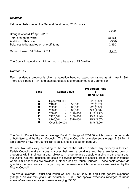# **Balances**

Estimated balances on the General Fund during 2013-14 are:

|                                             | £'000   |
|---------------------------------------------|---------|
| Brought forward 1 <sup>st</sup> April 2013: |         |
| Total brought forward                       | (3,361) |
| <b>Addition to Balances</b>                 | (500)   |
| Balances to be applied on one-off items     | 2,390   |
| Carried forward 31 <sup>st</sup> March 2014 | (1.471) |

The Council maintains a minimum working balance of £1.5 million.

# **Council Tax**

Each residential property is given a valuation banding based on values as at 1 April 1991. There are 8 bands (A-H) and each band pays a different amount of Council Tax:

| <b>Band</b> | <b>Capital Value</b> |                              |          | <b>Proportion (ratio)</b><br>Ωf<br>Band 'D' Tax |
|-------------|----------------------|------------------------------|----------|-------------------------------------------------|
| A           | Up to £40,000        |                              |          | 6/9(0.67)                                       |
| в           | £40,001              | $\overline{\phantom{a}}$     | £52,000  | $7/9$ (0.78)                                    |
| С           | £52,001              | $\overline{\phantom{a}}$     | £68,000  | 8/9(0.89)                                       |
| D           | £68,001              | $\overline{\phantom{a}}$     | £88,000  | 9/9(1.00)                                       |
| E           | £88,001              | $\blacksquare$               | £120,000 | 11/9 (1.22)                                     |
| F           | £120,001             | $\qquad \qquad \blacksquare$ | £160,000 | 13/9 (1.44)                                     |
| G           | £160,001             | ÷,                           | £320,000 | 15/9 (1.67)                                     |
| н           | Over £320,000        |                              |          | 18/9 (2.00)                                     |

The District Council has set an average Band 'D' charge of £206.80 which covers the demands of both itself and the Parish Councils. The District Council's own element averages £168.28. A table showing how the Council Tax is calculated is set out on page 24.

Council Tax rates vary according to the part of the district in which any property is located. Parish Councils make charges to cover their own expenditure and these are levied only on properties within their own areas. Likewise, in order to avoid double-charging in parished areas, the District Council identifies the costs of services provided to specific areas in those instances where similar services are provided in other areas by Parish Councils. These costs (known as special expenses) are also charged only to the areas in which the services are provided by the District Council.

The overall average District and Parish Council Tax of £206.80 is split into general expenses (charged equally throughout the district) of £153.3 and special expenses (charged to those areas where services are provided) averaging £53.50.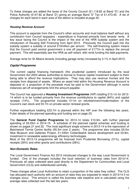To these charges are added the taxes of the County Council (£1,118.83 at Band 'D') and the Police Authority (£147.82 at Band 'D') giving an average Band 'D' Tax of £1,473.45. A list of charges for each band in each area of the district is included at page 25.

# **Housing Revenue Account**

This account is separate from the Council's other accounts and must balance itself without any contribution from Council taxpayers - expenditure is financed primarily from tenants' rents. A key issue facing the Council is the impact of the end of the HRA subsidy system and the introduction of Housing Self Financing from April 2012. Previously the Council paid into the subsidy system a subsidy of around £10million per annum. The self-financing system means that the Council paid central government a one off payment of £177m to replace the annual payment. This will essentially see the HRA as self reliant, with rents funding the debt payments.

Average rents for St Albans tenants (including garage rents) increased by 3.1% in April 2013.

# **Capital Programme**

The current capital financing framework (the prudential system) introduced by the local Government Act 2003 allows authorities to borrow to finance capital investment subject to them being able to afford the revenue implications. They may also use revenue monies and the receipts from disposal of assets. Where an asset held within the Housing Revenue Account is disposed of, a proportion of the proceeds must be paid to the Government although in some instances set-off arrangements limit the amount payable.

The Council has approved a **Housing Investment Programme** (HIP) totalling £13.1m for 2013- 14 which is to be funded primarily from the revenue contributions to capital (84%) and capital receipts (14%). The programme includes £11m on refurbishment/modernisation of the Council's own stock and £0.7m on private sector renewal grants.

Further expenditure totalling £23.7m is planned within the HIP over the following two years. Fuller details of the planned spending and funding are on page 23.

The **General Fund Capital Programme** for 2013-14 totals £10.9m, with further planned spending of £6.05m in 2014-15. A schedule of the planned capital schemes and funding is shown on pages 21 and 22. The most significant single scheme in 2013-14 is the reprovision of Batchwood Tennis Centre facility (£6.3m over 2 years). The programme also includes £6.5m New Museum and Galleries Project, £1.545m Cotlandswick leisure development and £0.8m, investment in renewable water/energy efficiency technologies.

Most of the 2013-14 programme will be financed from Prudential Borrowing (31%), capital receipts (29%) and other grants and contributions (28%).

# **Non-Domestic Rates**

The Local Government Finance Act 2012 introduced changes to the way Local Government is funded. One of the changes includes the local retention of business rates from 2013/14. Previously all rates collected were paid directly to the Department for Communities and Local Government (CLG) and redistributed centrally.

These changes allow Local Authorities to retain a proportion of the rates they collect. The CLG has allocated each authority with an amount of rates they are expected to retain in 2013/14 if no changes occur. This amount is called the business rate baseline and is calculated using the average rates collected over the last two years.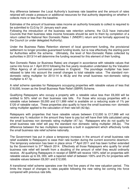Any difference between the Local Authority's business rate baseline and the amount of rates retained will create a pressure or additional resources for that authority depending on whether it collects more or less than the baseline.

Estimates of the amount of business rates income an authority forecasts to collect is required to be submitted to CLG by 31 January each year.

Following the introduction of the business rate retention scheme, the CLG have instructed Councils that their business rates income forecasts should be sent to them by completion of a return called the National Non Domestic Rates 1 (NNDR1) return and be formally approved by the Council (or under delegated Authority).

Under the Business Rates Retention element of local government funding, the provisional settlement no longer provides guaranteed funding levels, but is now effectively the starting point for Authorities within the scheme. Ultimately, the level of Non-Domestic Rates collected by authorities in 2013/14 will determine the funding received for this element of their funding.

Non Domestic Rates (or Business Rates) are charged in accordance with rateable values that came into force on 1 April 2010 following the five yearly revaluation undertaken by the Valuation Office Agency of all commercial premises in England. The poundage multiplier has been rebased to take into account the overall changes to total rateable value. The standard nondomestic rating multiplier for 2013-14 is 48.2p and the small business non-domestic rating multiplier is 47.1p.

A relief scheme operates for Ratepayers occupying properties with rateable values of less that £18,000, known as the Small Business Rate Relief (SBRR) Scheme.

Qualifying Ratepayers who occupy a property with a rateable value less than £6,000 will be entitled to 50% relief on their business rate bills. For those who occupy properties with a rateable value between £6,000 and £11,999 relief is available on a reducing scale of 1% per £120 of rateable value. These properties also qualify to have the small business non- domestic rating multiplier applied to the calculation of their rate bill (42.6p).

Ratepayers with properties that have rateable values between £12,000 to £17,999 will not receive any % reduction in the amount they have to pay but will have their bills calculated using the small business non domestic rating multiplier (47.1p). Ratepayers who do not qualify for small business rate relief will pay the standard non domestic rating multiplier (48.2p). The difference between the two multipliers represents a built in supplement which effectively funds the small business rate relief scheme nationally.

The Government has put in place a temporary increase in the amount of small business rate relief available to Ratepayers to ease their rate burden during the current economic downturn. The temporary extension has been in place since  $1<sup>st</sup>$  April 2011 and has been further extended by the Government to 31<sup>st</sup> March 2014. Effectively all those Ratepayers who qualify for small business rate relief will benefit from a doubling of the amount of relief they would ordinarily receive. All qualifying Ratepayers in receipt of SBRR will receive 100% relief on properties with rateable values up to £6, 000, with a tapered relief of between 100% and 0% for properties with rateable values between £6,001 and £12,000.

A transitional relief scheme operates over the first five years of the new valuation period. This limits the impact of changes to rates payable following the new rating list coming into force compared with previous rate bills.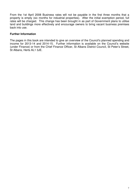From the 1st April 2008 Business rates will not be payable in the first three months that a property is empty (six months for industrial properties). After the initial exemption period, full rates will be charged. This change has been brought in as part of Government plans to utilise land and buildings more effectively and encourage owners to bring vacant business premises back into use.

# **Further Information**

The pages in this book are intended to give an overview of the Council's planned spending and income for 2013-14 and 2014-15. Further information is available on the Council's website (under Finance) or from the Chief Finance Officer, St Albans District Council, St Peter's Street, St Albans, Herts AL1 3JE.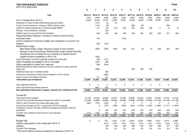#### **TEN YEAR BUDGET FORECAST**2012-13 to 2022-2023

**Final**

|                                                                      | 0         |           | 2           |             |             |             |             |             | я           | q           | 10          |
|----------------------------------------------------------------------|-----------|-----------|-------------|-------------|-------------|-------------|-------------|-------------|-------------|-------------|-------------|
| Year                                                                 | 2012/13   | 2013/14   | 2014/15     | 2015/16     | 2016/17     | 2017/18     | 2018/19     | 2019/20     | 2020-21     | 2021-22     | 2022-23     |
|                                                                      | £000      | £000      | £000        | £000        | £000        | £000        | £000        | £000        | £000        | £000        | £000        |
| 2012-13 Budget Book (2012-3)                                         | 15,944    | 15,944    | 15,401      | 14,987      | 15,257      | 15,548      | 16,244      | 17,398      | 18,491      | 19,031      | 19.465      |
| Reduction in costs of Early Retirements (pension strain)             |           | (127)     | (2)         | (5)         |             |             |             |             |             |             |             |
| County Council elections - saving on SADC election costs             |           | (110)     | 89          |             |             | (89)        | 89          |             |             | (89)        |             |
| Impact of capital programme on revenue budget (MRP)                  |           | 101       | 152         | (15)        | (32)        | (40)        | (42)        | (49)        | 11          | 12          | 12          |
| Pension fund contribution increase                                   |           |           | 200         |             |             |             |             |             |             |             |             |
| Inflation (pay, non pay and fees and charges)                        |           | 422       | 442         | 448         | 458         | 466         | 487         | 522         | 555         | 571         | 584         |
| Recycling/refuse collection- increase in costs to meet the 60%       |           |           |             |             |             |             |             |             |             |             |             |
| recycling target                                                     |           | 100       |             |             | (100)       |             |             |             |             |             |             |
| Cost to implement Universal Credits and Localisation of Council Tax  |           |           |             |             |             |             |             |             |             |             |             |
| Support                                                              |           | 365       | (150)       |             |             |             |             |             |             |             |             |
| Westminster Lodge                                                    |           |           |             |             |             |             |             |             |             |             |             |
| New Westminster Lodge- Revenue impact of new contract                |           | (204)     | (382)       | (158)       | (35)        | (21)        | 56          | 21          | (26)        | (60)        | 326         |
| Saving in cost of borrowing if Westminster Lodge funded internally-  |           |           |             |             |             |             |             |             |             |             |             |
| reduced by loss of interest & from reduction in capital reserve      |           |           |             |             |             |             |             |             |             |             |             |
| (capital scheme completion in 2013-14)                               |           | (544)     |             |             |             |             |             |             |             |             |             |
| Cost of Strategic Local Plan (partially funded from reserves)        |           | 306       | (121)       |             |             |             |             |             |             |             |             |
| Other Proposals as detailed in 2013-14 budget                        |           | (914)     | (98)        |             |             |             |             |             |             |             |             |
| Other expenditure funded from reserves                               |           | 589       | (616)       |             |             |             |             |             |             |             |             |
| New Homes Bonus (Each tranche of income is paid for 6 years and then |           |           |             |             |             |             |             |             |             |             |             |
| drops out)                                                           |           | (599)     |             |             |             | 380         | 564         | 599         |             |             |             |
| Additional resource to maintain assets                               |           |           | 300         |             |             |             |             |             |             |             |             |
| Income from the lease of office accommodation in Civic Centre        |           |           | (250)       |             |             |             |             |             |             |             |             |
| Cost of Council Tax default scheme*                                  |           | 73        | 22          |             |             |             |             |             |             |             |             |
| Total before use of balances                                         | 15.944    | 15.401    | 14,987      | 15,257      | 15,548      | 16,244      | 17,398      | 18,491      | 19,031      | 19,465      | 20.387      |
| Use of general reserves                                              | $\Omega$  | $\Omega$  | $\Omega$    | $\Omega$    | $\Omega$    | $\Omega$    | $\Omega$    | $\Omega$    | $\Omega$    | $\mathbf 0$ |             |
| Use of general & earmarked reserves                                  |           | (661)     | (45)        |             |             |             |             |             |             |             |             |
| Net expenditure before Gov't support, Council Tax, Collection Fund   | 15.944    | 14,740    | 14,942      | 15,257      | 15,548      | 16,244      | 17,398      | 18,491      | 19,031      | 19.465      | 20.387      |
| Funded By                                                            |           |           |             |             |             |             |             |             |             |             |             |
| <b>Total Government support</b>                                      | (5, 176)  | (4,618)   | (3,930)     | (3,537)     | (3, 183)    | (2,865)     | (2,922)     | (2,981)     | (3,040)     | (3, 101)    | (3, 163)    |
| Council Tax (includes technical changes from 2013-14 onwards)        | (10, 392) | (9,868)   | (9,868)     | (9,908)     | (9,948)     | (9,988)     | (10,028)    | (10,068)    | (10, 108)   | (10, 148)   | (10, 188)   |
| Grant in aid of Council Tax Freeze (two years only)                  | (266)     | (105)     | (105)       | 0           | 0           | 0           | 0           | 0           | 0           | $\mathbf 0$ | $\mathbf 0$ |
| Council tax increase (at 2%) in years from 2014/15 onwards           |           | 0         | (197)       | (399)       | (605)       | (816)       | (1,032)     | (1,253)     | (1,480)     | (1,711)     | (1,949)     |
| Increase in Council Tax base-technical changes and growth in Band D  |           |           |             |             |             |             |             |             |             |             |             |
| properties                                                           |           | 0         | (40)        | (40)        | (40)        | (40)        | (40)        | (40)        | (40)        | (40)        | (40)        |
| Transfer from collection fund (Council Tax surpluses)                | (110)     | (149)     | (50)        | (50)        | (50)        | (50)        | (50)        | (50)        | (50)        | (50)        | (49)        |
| <b>Funding</b>                                                       | (15, 944) | $-14,740$ | (14, 190)   | (13, 934)   | (13, 826)   | (13, 759)   | (14,072)    | (14, 392)   | (14, 718)   | (15,051)    | (15, 389)   |
|                                                                      | $\Omega$  |           |             |             |             |             |             |             |             |             |             |
| <b>Budget Gap</b>                                                    |           | $\Omega$  | 752         | 1,323       | 1,722       | 2,485       | 3,326       | 4,099       | 4,313       | 4,414       | 4,998       |
| Inflation assumption in the model after 2013-14<br>Inflation         |           |           | 3.0%<br>442 | 3.0%<br>448 | 3.0%<br>458 | 3.0%<br>466 | 3.0%<br>487 | 3.0%<br>522 | 3.0%<br>555 | 3.0%<br>571 | 3.0%<br>584 |
| Council Tax increase                                                 |           |           | 2%          | 2%          | 2%          | 2%          | 2%          | 2%          | 2%          | 2%          | 2%          |
|                                                                      |           |           |             |             |             |             |             |             |             |             |             |

\* Net cost of default scheme funded from reserves in 2013-14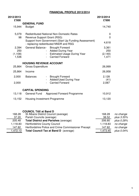# **FINANCIAL PROFILE 2013/2014**

| 2012/2013 |                                                                                                 | 2013/2014      |            |
|-----------|-------------------------------------------------------------------------------------------------|----------------|------------|
| £'000     |                                                                                                 | £'000          |            |
| 15,944    | <b>GENERAL FUND</b><br><b>Budget</b>                                                            | 14,740         |            |
| 5,079     | <b>Redistributed National Non-Domestic Rates</b>                                                | $\mathbf 0$    |            |
| 98        | Revenue Support Grant (RSG)                                                                     | $\overline{0}$ |            |
|           | Support from Government (Start Up Funding Assessment)<br>- replacing redistributed NNDR and RSG | 4,618          |            |
| 2,394     | <b>General Balance -</b><br><b>Brought Forward</b>                                              | 3,361          |            |
| 250       | <b>Added During Year</b>                                                                        | 250            |            |
| (1, 108)  | <b>Estimated Usage During Year</b>                                                              | (2, 140)       |            |
| 1,536     | <b>Carried Forward</b>                                                                          | 1,471          |            |
|           | <b>HOUSING REVENUE ACCOUNT</b>                                                                  |                |            |
| 25,864    | <b>Gross Expenditure</b>                                                                        | 26,999         |            |
| 25,864    | Income                                                                                          | 26,958         |            |
| 2,000     | <b>Brought Forward</b><br><b>Balances</b><br>$\overline{\phantom{a}}$                           | 2,128          |            |
|           | Added/Used During Year                                                                          | (41)           |            |
| 2,000     | <b>Carried Forward</b>                                                                          | 2,087          |            |
|           | <b>CAPITAL SPENDING</b>                                                                         |                |            |
| 13,118    | General Fund<br><b>Approved Forward Programme</b>                                               | 10,912         |            |
| 13,152    | Housing Investment Programme                                                                    | 13,120         |            |
|           |                                                                                                 |                |            |
| 168.28    | <b>COUNCIL TAX at Band D</b><br>St Albans District Council (average)                            | 168.28         | no change  |
| 37.20     | Parish Councils (average)                                                                       | 38.52          | plus 3.55% |
| 205.48    | <b>Total District and Parishes (average)</b>                                                    | 206.80         | plus 0.28% |
| 1,118.83  | Hertfordshire County Council                                                                    | 1,118.83       | no change  |
| 147.82    | Hertfordshire Police and Crime Commissioner Precept                                             | 147.82         | no change  |

1,472.13 **Total Council Tax at Band D** (average) 1,473.45 plus 0.04%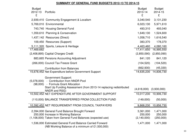# **SUMMARY OF GENERAL FUND BUDGETS 2012-13 TO 2014-15**

| <b>Budget</b><br>2012-13<br>£ | Portfolio                                                                                                                                                                                            | <b>Budget</b><br>2013-14<br>£       | <b>Budget</b><br>2014-15<br>£     |
|-------------------------------|------------------------------------------------------------------------------------------------------------------------------------------------------------------------------------------------------|-------------------------------------|-----------------------------------|
|                               | 2,939,410 Community Engagement & Localism                                                                                                                                                            | 3,340,540                           | 3,131,230                         |
|                               | 5,769,010 Environmental                                                                                                                                                                              | 6,023,130                           | 5,971,610                         |
|                               | 743,740 Housing General Fund                                                                                                                                                                         | 493,310                             | 493,040                           |
|                               | 1,359,610 Planning & Conservation                                                                                                                                                                    | 1,649,130                           | 1,524,600                         |
|                               | 1,437,142 Resources (Direct)                                                                                                                                                                         | 1,058,710                           | 1,616,540                         |
|                               | 109,450 Resources (Support)                                                                                                                                                                          | 383,370                             | 178,370                           |
|                               | 5,111,320 Sports, Leisure & Heritage                                                                                                                                                                 | 4,463,460                           | 4,080,160                         |
| 17,469,682                    |                                                                                                                                                                                                      | 17,411,650                          | 16,995,550                        |
|                               | (2,408,895) Capital Charges Credit                                                                                                                                                                   | (2,850,090)                         | (2,850,090)                       |
|                               | 883,665 Pensions Accounting Adjustment                                                                                                                                                               | 841,120                             | 841,120                           |
|                               | (266,000) Council Tax Freeze Grant                                                                                                                                                                   | (104, 520)                          | (104, 520)                        |
|                               | <b>Contribution from Balances</b>                                                                                                                                                                    | (662, 930)                          | (45, 330)                         |
|                               | 15,678,452 Net Expenditure before Government Support                                                                                                                                                 | 14,635,230                          | 14,836,730                        |
|                               | <b>Government Support:</b><br>(5,078,000) - Contribution from NNDR Pool<br>(98,000) - Formula Grant Allocation<br>Start Up Funding Assessment (from 2013-14 replacing redistributed<br>NNDR and RSG) | $(4,618,000)$ $(3,930,000)$         |                                   |
|                               | 10,502,452 NET EXPENDITURE AFTER GOVERNMENT SUPPORT                                                                                                                                                  | 10,017,230                          | 10,906,730                        |
|                               | (110,000) BALANCE TRANSFERRED FROM COLLECTION FUND                                                                                                                                                   | (149,000)                           | (50,000)                          |
|                               | 10,392,452 NET REQUIREMENT FROM COUNCIL TAXPAYERS                                                                                                                                                    | 9,868,230                           | 10,856,730                        |
|                               | 2,394,000 General Fund Balance Brought Forward<br>250,000 Increase in Working Balance<br>(1,108,000) Taken from General Fund Balances (expected use)                                                 | 3,361,000<br>250,000<br>(2,140,000) | 1,471,000<br>250,000<br>(250,000) |
|                               | 1,536,000 Estimated General Fund Balance Carried Forward<br>(NB Working Balance of a minimum of £1,500,000)                                                                                          | 1,471,000                           | 1,471,000                         |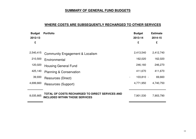# **SUMMARY OF GENERAL FUND BUDGETS**

# **WHERE COSTS ARE SUBSEQUENTLY RECHARGED TO OTHER SERVICES**

| <b>Budget</b><br>2012-13 | <b>Portfolio</b>                                                                         | <b>Budget</b><br>2013-14                | <b>Estimate</b><br>2014-15 |
|--------------------------|------------------------------------------------------------------------------------------|-----------------------------------------|----------------------------|
| £                        |                                                                                          | £                                       | £                          |
| 2,540,415                | <b>Community Engagement &amp; Localism</b>                                               | 2,413,540                               | 2,412,740                  |
| 210,500                  | Environmental                                                                            | 162,020                                 | 162,020                    |
| 120,020                  | <b>Housing General Fund</b>                                                              | 246,160                                 | 246,270                    |
| 425,140                  | <b>Planning &amp; Conservation</b>                                                       | 411,670                                 | 411,670                    |
| 39,930                   | Resources (Direct)                                                                       | $103,810 -$<br>$\overline{\phantom{a}}$ | 69,660                     |
| 4,699,660                | Resources (Support)                                                                      | 4,771,950                               | 4,740,750                  |
| 8,035,665                | TOTAL OF COSTS RECHARGED TO DIRECT SERVICES AND<br><b>INCLUDED WITHIN THOSE SERVICES</b> | 7,901,530                               | 7,903,790                  |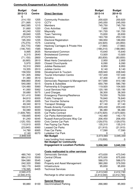# **Community Engagement & Localism Portfolio**

| <b>Budget</b> | Cost          |                                            | <b>Budget</b> | <b>Budget</b> |
|---------------|---------------|--------------------------------------------|---------------|---------------|
| 2012-13       | <b>Centre</b> | <b>Direct Services</b>                     | 2013-14       | 2014-15       |
| £             |               |                                            | £             | £             |
| 214,150       | 1205          | <b>Community Protection</b>                | 200,620       | 200,620       |
| 271,995       | 1210          | <b>CCTV</b>                                | 245,050       | 245,050       |
| 842,585       | 1215          | Members                                    | 745,750       | 745,750       |
| 31,660        | 1220          | <b>Civic Activities</b>                    | 7,660         | 7,660         |
| 40,240        | 1222          | Mayoralty                                  | 191,720       | 191,720       |
| 28,840        | 1225          | <b>Town Twinning</b>                       | 15,830        | 20,830        |
| 273,570       | 1230          | Elections                                  | 163,730       | 253,100       |
| 195,350       | 1235          | <b>Electoral Registration</b>              | 189,950       | 189,950       |
| (75, 270)     | 1575          | Licensing                                  | (24, 920)     | (24, 850)     |
| (53, 770)     | 1580          | Hackney Carriages & Private Hire           | (7, 560)      | (7,560)       |
| (146, 700)    | 1585          | Market                                     | (188, 210)    | (188,080)     |
| 9,995         | 2635          | Nomansland Common                          | 15,640        | 15,640        |
| 8,315         | 2640          | <b>Bricketwood Common</b>                  | 13,920        | 13,920        |
| (71, 150)     | 2800          | Cemeteries                                 | (83, 830)     | (83, 830)     |
| (8,065)       | 2810          | <b>West Herts Crematorium</b>              | 2,950         | 2,950         |
| 5,970         | 2820          | <b>Closed Churchyards</b>                  | 6,090         | 6,090         |
| 18,310        | 2900          | <b>Jubilee Restaurant</b>                  | 8,950         | 8,950         |
| 19,355        | 2910          | Jubilee Centre                             | 8,140         | 8,140         |
| 158,550       | 3056          | Development & Tourism                      | 228,940       | 228,940       |
| 191,305       | 3062          | <b>Tourist Information Centre</b>          | 157,430       | 157,430       |
| 31,380        | 3510          | Scrutiny                                   | 37,300        | 37,300        |
| 998,860       | 3540          | Democratic Represent & Management          | 917,690       | 910,180       |
| 540,080       | 5015          | <b>Grants &amp; Subsidies</b>              | 650,790       | 580,790       |
| 124,480       | 5060          | Partnership & Engagement                   | 119,920       | 104,920       |
| 41,060        | 5062          | <b>Local Services Hub</b>                  | 120,190       | 120,190       |
| 30,680        | 5075          | <b>Land Charges</b>                        | 38,300        | 38,300        |
| 101,410       | 5080          | <b>Emergency Planning/Resilience</b>       | 79,550        | 79,550        |
| 84,810        | 6000          | <b>Public Transport</b>                    | 76,840        | 76,840        |
| 61,050        | 6005          | <b>Taxi Voucher Scheme</b>                 | 62,270        | 62,270        |
| 49,340        | 6010          | <b>Transport Strategy</b>                  | 67,140        | 37,140        |
| 160,915       | 6020          | <b>Roads Amenity Functions</b>             | 229,430       | 229,430       |
| 50,080        | 6030          | Verge Maintenance                          | 96,380        | 96,380        |
| (1,609,790)   | 6035          | <b>Car Parks Contract</b>                  | (1,670,920)   | (1,670,920)   |
| 158,665       | 6040          | Car Parks Administration                   | 142,460       | 142,170       |
| 91,240        | 6045          | Russell Avenue/Drovers Way Car             | 206,450       | 206,450       |
| (125, 155)    | 6050          | <b>Civic Centre Car Park</b>               | (129,070)     | (129,070)     |
| 110,910       | 6055          | Fee Paying Car Parks                       | 135,310       | 135,310       |
| (23, 640)     | 6060          | <b>Leased Car Parks</b>                    | (21, 910)     | (21, 910)     |
| 14,780        | 6065          | <b>Free Car Parks</b>                      | 17,590        | 17,590        |
| 2,140         | 6070          | Lydekker Car Park                          | 0             | 0             |
| 2,848,530     |               | <b>Net Budget</b>                          | 3,073,560     | 3,045,330     |
|               |               | Less funding from reserves                 | (15,000)      | 0             |
|               |               | <b>Net Budget for Community</b>            |               |               |
|               |               | <b>Engagement &amp; Localism Portfolio</b> | 3,058,560     | 3,045,330     |
|               |               |                                            |               |               |
|               |               | Costs reallocated to other services        |               |               |
| 480,740       | 1245          | <b>Democratic Services</b>                 | 473,630       | 473,540       |
| 884,210       | 5500          | <b>Central Offices</b>                     | 875,930       | 875,930       |
| 594,580       | 5545          | Legal                                      | 588,070       | 588,070       |
| 242,320       | 5560          | <b>Property and Asset Management</b>       | 380,260       | 379,550       |
| 160,170       | 6400          | Infrastructure                             | 95,650        | 95,650        |
| 178,395       | 6405          | <b>Technical Services</b>                  | 0             | 0             |
| 2,540,415     |               |                                            | 2,413,540     | 2,412,740     |
| (2,540,415)   |               | Recharge to other services                 | (2, 413, 540) | (2, 412, 740) |
| 0             |               |                                            | 0             | 0             |
|               |               | <b>Special Reserve</b>                     |               |               |
| 90,880        | 6100          | <b>Decriminalised Parking</b>              | 266,980       | 85,900        |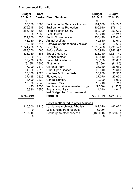# **Environmental Portfolio**

| <b>Budget</b><br>2012-13<br>£ | Cost<br><b>Centre</b> | <b>Direct Services</b>                     | <b>Budget</b><br>2013-14<br>£ | <b>Budget</b><br>2014-15<br>£ |
|-------------------------------|-----------------------|--------------------------------------------|-------------------------------|-------------------------------|
| 165,370                       | 1500                  | <b>Environmental Services Administra</b>   | 191,630                       | 194,240                       |
| 275,515                       | 1505                  | <b>Environmental Protection</b>            | 405,910                       | 376,140                       |
| 385,180                       | 1520                  | Food & Health Safety                       | 359,120                       | 359,660                       |
| 95,560                        | 1530                  | <b>Pest Control</b>                        | 56,210                        | 56,210                        |
| 239,750                       | 1535                  | <b>Public Conveniences</b>                 | 256,440                       | 256,440                       |
| 48,930                        | 1540                  | <b>Animal Welfare</b>                      | 40,610                        | 40,610                        |
| 23,910                        | 1545                  | <b>Removal of Abandoned Vehicles</b>       | 19,630                        | 19,630                        |
| 1,244,460                     | 1555                  | Recycling                                  | 1,298,470                     | 1,298,520                     |
| 1,683,650                     | 1560                  | <b>Refuse Collection</b>                   | 1,746,940                     | 1,746,990                     |
| 1,325,930                     | 1565                  | <b>Street Cleansing</b>                    | 1,321,740                     | 1,321,740                     |
| 68,920                        | 1570                  | <b>Cleaner District</b>                    | 69,410                        | 69,410                        |
| 32,400                        | 2600                  | <b>Parks Administration</b>                | 33,050                        | 33,050                        |
| (6, 165)                      | 2605                  | Allotments                                 | (8, 160)                      | (8, 160)                      |
| 17,900                        | 2610                  | <b>Clarence Park</b>                       | 26,080                        | 26,080                        |
| 64,060                        | 2615                  | <b>Other Open Spaces</b>                   | 96,640                        | 76,640                        |
| 36,180                        | 2620                  | <b>Gardens &amp; Flower Beds</b>           | 36,900                        | 36,900                        |
| 27,495                        | 2625                  | Playgrounds                                | 27,070                        | 27,070                        |
| 6,490                         | 2630                  | <b>Central Nursery</b>                     | 8,990                         | 8,990                         |
| 17,600                        | 2645                  | <b>Railway Trails</b>                      | 18,710                        | 18,710                        |
| 495                           | 2650                  | Verulamium & Westminster Lodge             | (1,300)                       | (1,300)                       |
| 15,380                        | 2655                  | <b>Rothamsted Park</b>                     | 14,040                        | 14,040                        |
|                               |                       | <b>Net Budget for Environmental</b>        |                               |                               |
| 5,769,010                     |                       | <b>Portfolio</b>                           | 6,018,130                     | 5,971,610                     |
|                               |                       | <b>Costs reallocated to other services</b> |                               |                               |
| 210,500                       | 6410                  | Landscape Architect, Arborists             | 167,020                       | 162,020                       |
| 0                             |                       | Less funding from reserves                 | (5,000)                       | 0                             |
| (210,500)                     |                       | Recharge to other services                 | (162, 020)                    | (162,020)                     |
| O                             |                       |                                            | $\mathbf 0$                   | $\overline{0}$                |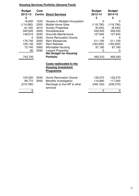# **Housing Services Portfolio (General Fund)**

| <b>Budget</b><br>2012-13<br>£ | <b>Cost</b><br><b>Centre</b> | <b>Direct Services</b>                                                           | <b>Budget</b><br>2013-14<br>£ | <b>Budget</b><br>2014-15<br>£ |
|-------------------------------|------------------------------|----------------------------------------------------------------------------------|-------------------------------|-------------------------------|
| 16,630                        | 1525                         | Houses in Multiple Occupation                                                    |                               |                               |
| (114,060)                     | 2000                         | <b>Mobile Home Sites</b>                                                         | (118, 790)                    | (118,790)                     |
| (6, 140)                      | 2010                         | <b>Sundry Properties</b>                                                         | (8,340)                       | (8,340)                       |
| 340,000                       | 2020                         | Homelessness                                                                     | 349,520                       | 349,250                       |
| 148,610                       | 2030                         | <b>Grounds Maintenance</b>                                                       | 127,640                       | 127,640                       |
| 0                             | 2040                         | <b>Home Renovation Grants</b>                                                    |                               | $\Omega$                      |
| 179,740                       | 2050                         | <b>Rent Allowances</b>                                                           | 211,100                       | 211,100                       |
| 105,130                       | 2051                         | <b>Rent Rebates</b>                                                              | (165,000)                     | (165,000)                     |
| 73,740                        | 2065                         | Affordable Housing                                                               | 97,180                        | 97,180                        |
| 90                            | 2090                         | <b>Leased Properties</b>                                                         |                               | $\Omega$                      |
| 743,740                       |                              | <b>Net Budget for Housing</b><br><b>Portfolio</b>                                | 493,310                       | 493,040                       |
|                               |                              | <b>Costs reallocated to the</b><br><b>Housing Investment</b><br><b>Programme</b> |                               |                               |
| 120,020                       | 2040                         | <b>Home Renovation Grants</b>                                                    | 129,270                       | 129,270                       |
| 99,770                        | 5055                         | Benefits Investigation                                                           | 116,890                       | 117,000                       |
| (219, 790)                    |                              | Recharge to the HIP & other<br>services                                          | (246, 160)                    | (246, 270)                    |
|                               |                              |                                                                                  | $\mathbf 0$                   | 0                             |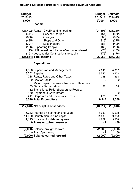# **Housing Services Portfolio HRS (Housing Revenue Account)**

| <b>Budget</b><br>2012-13<br>£'000<br><b>Income</b>                                                                                                                                                                                                                                                                              | <b>Budget</b><br>2013-14<br>£'000                                                   | <b>Estimate</b><br>2014-15<br>£'000                                                   |
|---------------------------------------------------------------------------------------------------------------------------------------------------------------------------------------------------------------------------------------------------------------------------------------------------------------------------------|-------------------------------------------------------------------------------------|---------------------------------------------------------------------------------------|
| (23,492) Rents - Dwellings (inc heating)<br>- Service Charges<br>(441)<br>(800)<br>- Garages<br>- Shops and Other<br>(435)<br>- Leaseholders<br>(324)<br>(166) Supporting People<br>(15) HRA Investment Income/Mortgage Interest<br>(191) Leaseholder Contributions to capital<br>(25,864) Total Income                         | (24, 593)<br>(454)<br>(800)<br>(316)<br>(383)<br>(166)<br>(70)<br>(176)<br>(26,958) | (25, 230)<br>(472)<br>(825)<br>(325)<br>(409)<br>(166)<br>(103)<br>(176)<br>(27, 706) |
| <b>Expenditure</b>                                                                                                                                                                                                                                                                                                              |                                                                                     |                                                                                       |
| 4,330 Supervision and Management<br>3,502 Repairs<br>238 Rents, Rates and Other Taxes<br>0 Cost of Capital<br>Major Repair Reserve - Transfer to Reserves<br>53 Garage Depreciation<br>32 Transitional Relief (Supporting People)<br>150 Payment to Government<br>211 Corporate and Democratic Costs<br>8,516 Total Expenditure | 4,840<br>3,540<br>238<br>0<br>53<br>$\mathbf 0$<br>273<br>8,944                     | 4,882<br>3,602<br>238<br>0<br>55<br>$\mathbf 0$<br>281<br>9,058                       |
| (17,348) Net surplus of services                                                                                                                                                                                                                                                                                                | (18, 014)                                                                           | (18, 648)                                                                             |
| 5,233 Interest on Self Financing Loan<br>11,000 Contribution to fund capital<br>1,115 Provision for debt repayment<br>0 Transfer to/from reserves                                                                                                                                                                               | 5,233<br>11,000<br>1,822<br>41                                                      | 5,233<br>9,666<br>3,908<br>159                                                        |
| (2,000) Balance brought forward<br>0 Transfers (In)/out                                                                                                                                                                                                                                                                         | (2,000)<br>41                                                                       | (2,000)<br>159                                                                        |
| (2,000) Balance carried forward                                                                                                                                                                                                                                                                                                 | (2,000)                                                                             | (2,000)                                                                               |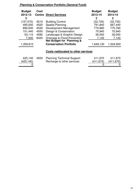# **Planning & Conservation Portfolio (General Fund)**

| <b>Budget</b><br>2012-13 | Cost | <b>Centre Direct Services</b>              | <b>Budget</b><br>2013-14 | <b>Budget</b><br>2014-15 |
|--------------------------|------|--------------------------------------------|--------------------------|--------------------------|
| £                        |      |                                            | £                        | £                        |
| (157, 570)               | 4510 | <b>Building Control</b>                    | (32,730)                 | (32,730)                 |
| 465,000                  | 4520 | <b>Spatial Planning</b>                    | 791,840                  | 667,440                  |
| 890,630                  | 4530 | Development Management                     | 775,890                  | 775,760                  |
| 101,440                  | 4550 | Design & Conservation                      | 70,940                   | 70,940                   |
| 53,110                   | 4580 | Landscape & Graphic Design                 | 36,050                   | 36,050                   |
| 7,000                    | 6025 | Drainage & Flood Prevention                | 7,140                    | 7,140                    |
|                          |      | <b>Net Budget for Planning &amp;</b>       |                          |                          |
| 1,359,610                |      | <b>Conservation Portfolio</b>              | 1,649,130                | 1,524,600                |
|                          |      | <b>Costs reallocated to other services</b> |                          |                          |

| 425,140    | 4500 Planning Technical Support | 411,670    | 411,670    |
|------------|---------------------------------|------------|------------|
| (425, 140) | Recharge to other services      | (411, 670) | (411, 670) |
|            |                                 |            |            |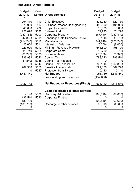# **Resources (Direct) Portfolio**

| <b>Budget</b><br>2012-13<br>£ | <b>Cost</b><br><b>Centre</b> | <b>Direct Services</b>                   | <b>Budget</b><br>2013-14<br>£ | <b>Budget</b><br>2014-15<br>£ |
|-------------------------------|------------------------------|------------------------------------------|-------------------------------|-------------------------------|
| 294,410                       | 1110                         | <b>Chief Executive</b>                   | 331,230                       | 327,730                       |
| 570,000                       | 1117                         | <b>Business Process Reengineering</b>    | 443,000                       | 191,000                       |
| 40,000                        | 1202                         | <b>Project Leadership</b>                | 18,800                        | 18,800                        |
| 128,020                       | 3520                         | <b>External Audit</b>                    | 71,290                        | 71,290                        |
| (287, 165)                    | 5000                         | <b>Corporate Property</b>                | (267, 410)                    | (287, 410)                    |
| (47, 825)                     | 5005                         | Sandridge Gate Business Centre           | (9, 150)                      | (9, 150)                      |
| (714, 740)                    | 5010                         | <b>Miscellaneous</b>                     | (941, 940)                    | (128, 240)                    |
| 423,000                       | 5011                         | Interest on Balances                     | (8,000)                       | (8,000)                       |
| 223,920                       | 5012                         | Minimum Revenue Provision                | 644,600                       | 796,100                       |
| 23,740                        | 5025                         | <b>Corporate Costs</b>                   | 12,780                        | 12,780                        |
| (81, 290)                     | 5035                         | <b>Business Rates</b>                    | (70, 800)                     | (71, 920)                     |
| 736,932                       | 5040                         | <b>Council Tax</b>                       | 788,240                       | 786,510                       |
| (81, 840)                     | 5045                         | <b>Council Tax Rebates</b>               | 0                             | 0                             |
| 0                             | 5047                         | <b>Council Tax Localisation</b>          | (685, 190)                    | (662, 860)                    |
| 209,980                       | 5050                         | <b>Benefits Administration</b>           | 721,120                       | 569,770                       |
| 0                             | 5547                         | <b>Protection from Eviction</b>          | 10,140                        | 10,140                        |
| 1,437,142                     |                              | <b>Net Budget</b>                        | 1,058,710                     | 1,616,540                     |
|                               |                              | Less funding from reserves               | (452, 600)                    |                               |
| 1,437,142                     |                              | <b>Net Budget for Resources (Direct)</b> | 606,110                       | 1,616,540                     |
|                               |                              | Costs reallocated to other services      |                               |                               |
| 7,190                         | 5030                         | <b>Recovery Administration</b>           | (103, 810)                    | (69, 660)                     |
| 132,510                       | 5520                         | <b>Corporate Printing</b>                | 0                             |                               |
| 139,700                       |                              |                                          | (103, 810)                    | (69, 660)                     |
| (139, 700)                    |                              | Recharge to other services               | 103,810                       | 69,660                        |
| 0                             |                              |                                          | 0                             | 0                             |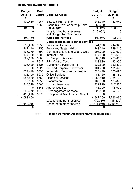# **Resources (Support) Portfolio**

| <b>Budget</b><br>2012-13<br>£ | Cost<br><b>Centre</b> | <b>Direct Services</b>                                        | <b>Budget</b><br>2013-14<br>£ | <b>Budget</b><br>2014-15<br>£ |
|-------------------------------|-----------------------|---------------------------------------------------------------|-------------------------------|-------------------------------|
| 109,450                       | 1257                  | <b>Strategic Partnership</b>                                  | 248,040                       | 133,040                       |
|                               | 1259                  | <b>Economic Dev Partnership Deliv</b>                         | 60,000                        |                               |
| 109,450                       |                       | <b>Net Budget</b>                                             | 308,040                       | 133,040                       |
| $\mathbf{0}$                  |                       | Less funding from reserves<br><b>Net Budget for Resources</b> | (115,000)                     | 0                             |
| 109,450                       |                       | (Support) Portfolio                                           | 193,040                       | 133,040                       |
|                               |                       | <b>Costs reallocated to other services</b>                    |                               |                               |
| 299,260                       | 1255                  | <b>Policy and Partnership</b>                                 | 244,920                       | 244,920                       |
| 242,110                       | 1256                  | <b>Policy and Sustainability</b>                              | 249,240                       | 249,240                       |
| 196,370                       | 1590                  | <b>Communications and Web Develo</b>                          | 203,000                       | 203,000                       |
| 174,350                       | 3500                  | <b>Internal Audit</b>                                         | 174,020                       | 166,600                       |
| 327,630                       | 5505                  | <b>HR Support Services</b>                                    | 265,810                       | 265,810                       |
| 0                             | 5512                  | <b>Print Central Code</b>                                     | 133,930                       | 133,930                       |
| 605,430                       | 5525                  | <b>Customer Service Centre</b>                                | 632,830                       | 632,830                       |
| 0                             | 5528                  | <b>GIS and Corporate Gazetteer</b>                            | 101,420                       | 101,420                       |
| 559,410                       | 5530                  | <b>Information Technology Service</b>                         | 826,420                       | 826,420                       |
| 103,100                       | 5535                  | <b>Office Services</b>                                        | 88,160                        | 88,160                        |
| 986,530                       | 5550                  | <b>Financial Services</b>                                     | 1,053,510                     | 1,034,760                     |
| 98,800                        | 5555                  | Procurement                                                   | 108,870                       | 108,870                       |
| 314,090                       | 5565                  | <b>Human Resources</b>                                        | 322,990                       | 317,960                       |
| 0                             | 5568                  | Apprenticeships                                               | 45,000                        | 15,000                        |
| 389,370                       | 5570                  | <b>IT Management Services</b>                                 | 397,160                       | 397,160                       |
| 403,210                       | 5575                  | IT Support & Maintenance Note 1                               |                               |                               |
| 4,699,660                     |                       |                                                               | 4,847,280                     | 4,786,080                     |
|                               |                       | Less funding from reserves                                    | (75, 330)                     | (45, 330)                     |
| (4,699,660)                   |                       | Recharge to other services                                    | (4,771,950)                   | (4,740,750)                   |
|                               |                       |                                                               |                               |                               |

Note 1 IT support and maintenance budgets returned to service areas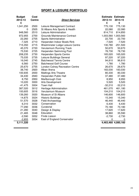# **SPORT & LEISURE PORTFOLIO**

| <b>Budget</b><br>2012-13 | Cost<br><b>Centre</b> | <b>Direct Services</b>              | <b>Estimate</b><br>2013-14 | <b>Estimate</b><br>2014-15 |
|--------------------------|-----------------------|-------------------------------------|----------------------------|----------------------------|
| £                        |                       |                                     | £                          | £                          |
| 1,041,250                | 2500                  | Leisure Management Contract         | 775,130                    | 775,130                    |
| 0                        | 2505                  | St Albans Arts Sports & Health      | 22,080                     | 22,080                     |
| 948,560                  | 2510                  | Leisure Administration              | 814,710                    | 814,850                    |
| 972,955                  | 2700                  | <b>Grounds Maintenance Contract</b> |                            | 1,003,560 1,003,560        |
| 22,260                   | 2705                  | Sports Administration               | 22,700                     | 22,700                     |
| $-7,325$                 | 2710                  | Harpenden Indoor Bowls Rink         | $-7,520$                   | $-7,520$                   |
| 715,350                  | 2715                  | Westminster Lodge Leisure Centre    | 130,780                    | $-251,500$                 |
| 45,370                   | 2720                  | Verulamium Running Track            | 50,670                     | 50,670                     |
| 75,530                   | 2725                  | Harpenden Swimming Pool             | 78,730                     | 78,730                     |
| 208,235                  | 2730                  | Harpenden Sports Centre             | 165,020                    | 165,020                    |
| 75,035                   | 2735                  | Leisure Buildings General           | 97,220                     | 97,220                     |
| 16,040                   | 2745                  | <b>Batchwood Tennis Centre</b>      | 94,810                     | 96,810                     |
| 6,560                    | 2750                  | <b>Batchwood Golf Course</b>        | 1,780                      | 1,780                      |
| 25,670                   | 2755                  | London Colney Recreation Centre     | 26,670                     | 26,670                     |
| 38,740                   | 2920                  | Alban Arena                         | 183,030                    | 183,030                    |
| 100,935                  | 2930                  | <b>Maltings Arts Theatre</b>        | 80,330                     | 80,330                     |
| 34,430                   | 2940                  | Harpenden Public Hall               | 37,480                     | 37,480                     |
| 8,750                    | 2950                  | Marlborough Club                    | 8,950                      | 8,950                      |
| 10,220                   | 3000                  | <b>Arts Development</b>             | 5,520                      | 5,520                      |
| $-41,475$                | 3004                  | <b>Town Hall</b>                    | $-32,210$                  | $-32,210$                  |
| 387,020                  | 3012                  | Heritage Administration             | 461,070                    | 461,180                    |
| 100,605                  | 3016                  | Verulamium Museum                   | 104,210                    | 104,210                    |
| 139,260                  | 3020                  | Museum of St Albans                 | 146,600                    | 146,600                    |
| 14,875                   | 3024                  | <b>Historic Buildings</b>           | 15,340                     | 15,340                     |
| 51,570                   | 3028                  | <b>Field Archaeology</b>            | 46,440                     | 46,440                     |
| 6,310                    | 3032                  | Conservation                        | 6,430                      | 6,430                      |
| 77,290                   | 3036                  | Curatorial                          | 70,180                     | 70,180                     |
| 21,280                   | 3040                  | Design & Display                    | 17,620                     | 17,620                     |
| 21,465                   | 3048                  | Education                           | 38,860                     | 35,590                     |
| $-2,590$                 | 3052                  | <b>Finds Liaison</b>                | $-2,730$                   | $-2,730$                   |
| $-2,855$                 | 3054                  | East of England Conservator         | $\mathbf 0$                | $\mathbf 0$                |
| 5,111,320                |                       |                                     | 4,463,460 4,080,160        |                            |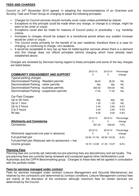# **FEES AND CHARGES**

Council on 24<sup>th</sup> November 2010 agreed, in adopting the recommendations of an Overview and Scrutiny Task and Finish Group on charging to adopt the following principles:

- Charges for Council services should normally cover costs unless prohibited by statute.
- Exceptions to this principle could be made when any charge, or change to a charge, might be seen to be unfair or unjust.
- Exceptions could also be made for reasons of Council policy or practicality e.g. hardship criteria.
- Increases to charges should be subject to a transitional period where any sudden increase would be unfair or unjust.
- The Council exists primarily for the benefit of its own residents; therefore there is a case for charging, or continuing to charge, non-residents.
- It would be acceptable to levy top up fees for better/quicker services where there is a demand and this charge does not offend principles behind charging which have already been established above.

Charges are reviewed by Services having regard to these principles and some of the key charges are listed below:

|                                                          | 2012/13         | 2013/14         | Percentage |
|----------------------------------------------------------|-----------------|-----------------|------------|
| <b>COMMUNITY ENGAGEMENT AND SUPPORT</b>                  | £               | £               | change     |
| <b>Typical parking charges</b>                           |                 |                 |            |
| Decriminalised Parking - Resident permits                | 38.00           | 38.00           | <b>NIL</b> |
| Decriminalised Parking - visitor permits                 | 35p             | 35p             | <b>NIL</b> |
| Decriminalised Parking - business permits                | 500.00          | 500.00          | <b>NIL</b> |
| Decriminalised Parking - suspension permits              | 17.00           | 17.00           | <b>NIL</b> |
| Car Park Charges                                         |                 |                 |            |
| Up to 30 mins                                            | 60 <sub>p</sub> | 60 <sub>p</sub> | <b>NIL</b> |
| Up to 1 hour                                             | 1.20            | 1.20            | <b>NIL</b> |
| Up to 2 hours                                            | 2.40            | 2.60            | 8.3%       |
| 2 to 5 hours                                             | 3.40            | 3.60            | 5.9%       |
| All day                                                  | 8.50            | 9.00            | 5.9%       |
|                                                          | 2012/13         | 2013/14         | Percentage |
| <b>Allotments and Cemeteries</b>                         | £               | £               | change     |
| Cemeteries                                               | 491.00          | 528.00          | 7.5%       |
|                                                          | 2012/13         | 2013/14         | Percentage |
| Allotments (approved one year in advance)                | £               | £               | change     |
| Full plot/Half plot                                      | 43.06 / 21.53   | 46.59 / 23.30   | 8.2%       |
| Full plot/Half plot (Reduced rate for pensioners $+$ low |                 |                 |            |
| income groups)                                           | 19.73 / 12.08   | 21.35 / 13.07   | 8.2%       |

## **Planning Fees**

Planning fees are currently set nationally but pre-planning fees are discretionary and set locally. The pre-planning fees are currently being reviewed and compared against other Hertfordshire Local Authorities and the CIPFA Benchmarking group. Changes to these fees will be agreed in consultation with the portfolio holder.

## **Fees for services managed under contract**

Fees for services managed under contract (Leisure Management and Grounds Maintenance) are retained by the contractors and determined by contract conditions. Leisure Management contract fees are mainly at the discretion of the contractor although maximum fees for certain services are determined by the Council.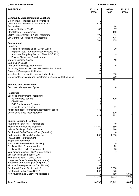# **CAPITAL PROGRAMME APPENDIX GFCA**

| <b>PORTFOLIO:</b>                                                                  | 2012/13 | 2013/14                                   | 2014/15 |
|------------------------------------------------------------------------------------|---------|-------------------------------------------|---------|
|                                                                                    | £'000   | £'000                                     | £'000   |
| <b>Community Engagement and Localism</b>                                           |         |                                           |         |
| Green Travel - Includes Electric Vehicles                                          | 12      |                                           |         |
| Cycle Routes (Includes £0.5m from HCC)                                             | 574     |                                           |         |
| <b>Bus Shelters</b>                                                                |         | 24                                        |         |
| Network St Albans (QNP)                                                            | 33      | 37                                        |         |
| Street Scene - Improvement                                                         |         | 169                                       |         |
| CCTV - Improvement - 5 Year Programme                                              | 100     | 17                                        |         |
| City Centre Public Realm enhancement                                               | 50      | 108                                       |         |
|                                                                                    | 768     | 355                                       |         |
| <b>Environment</b>                                                                 |         |                                           |         |
| Recycling:                                                                         |         |                                           |         |
| Replace Reusable Bags - Green Waste                                                |         | 20                                        |         |
| Replace Lost / Damaged Green Wheeled Bins                                          | 75      |                                           |         |
| Additional Recycling Banks to Flats (HCC 75%)<br>Bins for Flats - New Developments |         | 9                                         |         |
| <b>Improve Disabled Access</b>                                                     | 59      | 19                                        |         |
| Camp Open Space                                                                    | 6       |                                           |         |
| Verulamium Heritage Park Project                                                   | 43      | 25                                        |         |
| Air Quality Scheme - Holywell Hill and Peahen Junction                             | 14      |                                           |         |
| <b>Economic Development Inititatives</b>                                           | 25      |                                           |         |
| Investment in Renewable Energy Technologies                                        | 20      | 230                                       |         |
| Energy/water efficiency and investment in renewable technologies                   |         | 550                                       |         |
|                                                                                    | 241     | 853                                       |         |
|                                                                                    |         |                                           |         |
| <b>Planning and Conservation</b>                                                   | 7       |                                           |         |
| Document Management System                                                         |         | 0                                         |         |
| <b>Resources</b>                                                                   |         |                                           |         |
| <b>Business Improvement Programme:</b>                                             |         |                                           |         |
| Pc's Printers, Servers                                                             | 247     | 100                                       |         |
| <b>CRM Project</b>                                                                 |         |                                           |         |
| <b>FMS Replacement Systems</b>                                                     |         |                                           |         |
| Invest to Save Projects                                                            |         | 81                                        |         |
| Additional budget for maintenance/repair of assets                                 | 175     |                                           |         |
| Civic Centre office reconfiguration                                                |         | 600                                       |         |
|                                                                                    | 424     | 781                                       | 0       |
|                                                                                    |         |                                           |         |
| Sports, Leisure & Heritage                                                         |         |                                           |         |
| Harpenden Town FC - Roof Repairs                                                   |         | 10                                        |         |
| Westminster Lodge Development                                                      | 12,260  | 550                                       |         |
| Leisure Buildings - Refurbishment                                                  | 114     | 320                                       |         |
| Batchwood Golf & Tennis - Roof (Retention)<br>Cotlandswick - Council Contribution  |         | 6                                         |         |
|                                                                                    | 295     | 1,250                                     |         |
| HSC/Jubilee Refurbishment                                                          |         |                                           |         |
| Harpenden Public Hall<br>Town Hall - Refurbish Main Building                       |         | $\overline{\mathbf{c}}$<br>$\overline{9}$ |         |
| Old Town Hall - External Works                                                     |         | 22                                        |         |
| Old Town Hall - Boiler Replacement                                                 |         | 26                                        |         |
| Verulamium Museum - DDA Improvements                                               |         |                                           |         |
| Eco-Dev Initiatives Support GAF                                                    | 17      |                                           |         |
| <b>Rothamsted Park - Tennis Courts</b>                                             | 20      |                                           |         |
| Longacres Open Space (play equipment)                                              | 45      |                                           |         |
| Fleetville Open Space (play equipment)                                             | 47      |                                           |         |
| Nicholas Breakspear (Astro Turf Pitches)                                           | 84      |                                           |         |
| Batchwood Tennis Centre Note 2                                                     | 266     | 6,000                                     |         |
| Batchwood Golf & Bowls Note 2                                                      | 200     | 270                                       |         |
| New Museum and Gallery Project Note 3                                              | 0       | 450                                       | 6,050   |
|                                                                                    | 13,357  | 8,922                                     | 6,050   |
|                                                                                    |         |                                           |         |
| <b>Total Expenditure</b>                                                           | 14,798  | 10,912                                    | 6,050   |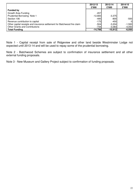|                                                                          | 2012/13   | 2013/14   | 2014/15        |
|--------------------------------------------------------------------------|-----------|-----------|----------------|
|                                                                          | £'000     | £'000     | £'000          |
| <b>Funded by</b>                                                         |           |           |                |
| Growth Area Funding                                                      | $-207$    |           |                |
| Prudential Borrowing Note 1                                              | $-12,683$ | $-3,375$  |                |
| Section 106                                                              | $-495$    | $-800$    | $-500$         |
| Revenue contribution to capital                                          | $-175$    | $-450$    | $\overline{0}$ |
| Other capital receipts and insurance settlement for Batchwood fire claim | $-504$    | $-3,204$  | $-1,500$       |
| <b>Other Grants and Contributions</b>                                    | $-734$    | -3.0831   | $-4,050$       |
| <b>Total Funding</b>                                                     | $-14,798$ | $-10,912$ | $-6,050$       |

Note 1 - Capital receipt from sale of Ridgeview and other land beside Westminster Lodge not expected until 2013-14 and will be used to repay some of the prudential borrowing.

Note 2 - Batchwood Schemes are subject to confirmation of insurance settlement and all other external funding proposals.

Note 3 - New Museum and Gallery Project subject to confirmation of funding proposals.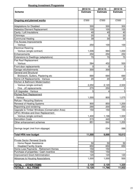#### **Housing Investment Programme**

|                                                             | 2013/14         | 2014/15             | 2015/16         |
|-------------------------------------------------------------|-----------------|---------------------|-----------------|
| <b>Scheme</b>                                               | <b>Estimate</b> | <b>Estimate</b>     | <b>Estimate</b> |
|                                                             |                 |                     |                 |
|                                                             | £'000           | £'000               | £'000           |
| <b>Ongoing and planned works</b>                            |                 |                     |                 |
| <b>Adaptations for Disabled</b>                             | 300             | 300                 | 300             |
| Asbestos Element Replacement                                | 100             | 100                 | 100             |
| Cavity / Loft Insulations                                   | 40              | 40                  | 40              |
| Chimneys                                                    | 20              | 0                   | 20              |
| <b>Communal Heating</b>                                     | 39              | 30                  | 30              |
| Fire <b>Access Improvements</b>                             |                 |                     |                 |
| - Various                                                   | 250             | 100                 | 100             |
| <b>Electrical Rewiring</b>                                  |                 |                     |                 |
| - Various (single contract)                                 | 1,006           | 994                 | 1,000           |
| Enhancements                                                | 250             | 250                 | 250             |
| Extensions to Dwellings (adaptations)                       | 70              | 70                  | 70              |
| Flat Roof Replacement                                       |                 |                     |                 |
| - Various                                                   | 584             | 452                 | 500             |
| Front door replacements                                     | 0               | 0                   | $\pmb{0}$       |
| Garage refurbishments                                       | 300             | 300                 | $\mathbf 0$     |
| <b>General and Structural</b>                               |                 |                     |                 |
| Brickwork, Gutters, Plastering etc                          | 690             | 690                 | 690             |
| Home Lift Replacements - Various                            | 20              | 20                  | 20              |
| Kitchen & Bathroom Modernisation                            |                 |                     |                 |
| - Various (single contract)                                 | 2,250           | 2,120               | 2,500           |
| - One - off replacements                                    | 270             | 250                 | 0               |
| Lift Upgrades - Various                                     | 5               | 4                   | 5               |
| <b>Pitched Roof Replacement</b>                             |                 |                     |                 |
| - Various                                                   | 1,000           | 800                 | 1,075           |
| Refuse / Recycling Stations                                 |                 |                     |                 |
| Renewal of Heating Systems                                  | 900             | 850                 | 1,200           |
| Repointing and rendering                                    | 290             | 200                 | 250             |
| Upgrade to Timber Windows (Conservation Area)               | 150             | 150                 | 150             |
| <b>UPVC Window and Door Replacement</b>                     |                 |                     |                 |
| - Various (single contract)                                 | 1,400           | 1,196               | 1,500           |
| <b>Demolition Costs</b>                                     | 215             | 440                 | 0               |
| Other enhancement schemes                                   | 851             | 644                 | 1,200           |
|                                                             |                 |                     |                 |
| Savings target (met from slippage)                          |                 | $-334$              | $-388$          |
|                                                             |                 |                     |                 |
| <b>Total HRA new budget</b>                                 | 11,000          | 9,666               | 10,612          |
| <b>Private Sector Renewal Grants</b>                        |                 |                     |                 |
| - Home Repair Assistance                                    | 50              | 50                  | 50              |
| <b>Disabled Facility Grants</b><br>$\overline{\phantom{a}}$ | 650             | 650                 | 650             |
| Home Loss Payments - Retirement Homes                       | 150             | 150                 |                 |
| Purchase of properties / Cash incentive                     | 150             | 150                 |                 |
| Improvement Grant Administration                            | 120             | 120                 | 120             |
| <b>Advances to Housing Associations</b>                     | 1,000           | 1,000               | 500             |
|                                                             |                 |                     |                 |
| <b>TOTAL - OTHER ITEMS</b>                                  | 2,120           | 2,120               | 1,320           |
| <b>TOTALS - ALL ITEMS</b>                                   | 13,120          | $\overline{11,786}$ | 11,932          |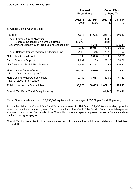### **COUNCIL TAX 2012/13 AND 2013/14**

|                                                                            | <b>Planned</b><br><b>Expenditure</b> |                    | <b>Council Tax</b><br>at Band 'D' |                   |
|----------------------------------------------------------------------------|--------------------------------------|--------------------|-----------------------------------|-------------------|
|                                                                            | 2012/13<br>£000                      | 2013/14<br>£000    | 2012/13                           | 2013/14<br>£      |
| <b>St Albans District Council Costs</b>                                    |                                      |                    |                                   |                   |
| <b>Budget</b>                                                              | 15,678                               | 14,635             | 258.19                            | 249.57            |
| Less - Formula Grant Allocation<br>- Share of National Non-domestic Rates  | (98)<br>(5,078)                      |                    | (5.89)<br>(82.24)                 |                   |
| Government Support: Start - Up Funding Assessment                          | 10,502                               | (4, 618)<br>10,017 | 170.06                            | (78.75)<br>170.82 |
| Less - Balance transferred from Collection Fund                            | (110)                                | (149)              | (1.78)                            | (2.54)            |
| <b>Net District Council Costs</b>                                          | 10,392                               | 9,868              | 168.28                            | 168.28            |
| Parish Councils' Support                                                   | 2,297                                | 2,259              | 37.20                             | 38.52             |
| Net District and Parish Requirement                                        | 12,689                               | 12,127             | 205.48                            | 206.80            |
| <b>Hertfordshire County Council costs</b><br>(Net of Government support)   | 69,106                               | 65,610             | 1,118.83                          | 1,118.83          |
| <b>Hertfordshire Police Authority costs</b><br>(Net of Government support) | 9,130                                | 8,668              | 147.82                            | 147.82            |
| <b>Total to be met by Council Tax</b>                                      | 90,925                               | 86,405             | 1,472.13                          | 1,473.45          |
| Council Tax Base (Band 'D' equivalents)                                    |                                      |                    | 61,766                            | 58,642            |

Parish Council costs amount to £2,258,847 equivalent to an average of £38.52 per Band 'D' property.

Across the district the Council Tax Band 'D' varies between £1,428.74 and £1,498.40, depending upon the level of expenditure planned by each Parish council, and the effect of the District Council special expenses allocated to each area. Full details of the Council tax rates and special expenses for each Parish are shown on the following two pages.

Council Tax for properties in other bands varies proportionately in line with the set relationship of their band to Band 'D'.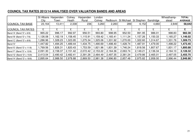|          |          | Colney                        | Harpenden | London   |           |            |                          |           | Wheathamp- | <b>TOTAL/</b>  |
|----------|----------|-------------------------------|-----------|----------|-----------|------------|--------------------------|-----------|------------|----------------|
| City     | Town     | Heath                         | Rural     | Colney   |           | St Michael | St Stephen               | Sandridge | stead      | <b>AVERAGE</b> |
|          | 13,411   |                               |           |          |           |            |                          |           | 2,849      | 58,642         |
|          |          |                               |           |          |           |            |                          |           |            |                |
|          |          |                               |           |          |           |            |                          |           |            |                |
| 965.22   | 996.17   | 992.97                        | 956.51    | 993.80   | 998.95    | 952.50     | 991.95                   | 986.01    | 998.83     | 982.30         |
| 1,126.08 | 1,162.19 | 1,158.45                      | 1,115.91  | 1,159.42 | 1,165.41  | 1,111.24   | 1,157.26                 | 1,150.33  | 1,165.27   | 1,146.02       |
| 1,286.96 | 1,328.23 | ,323.95                       | 1,275.34  | ,325.06  | 1,331.92  | 1,270.00   | 322.60                   | 1,314.67  | 1,331.76   | 1,309.73       |
| 1,447.82 | 1,494.25 | ,489.44                       | 1,434.75  | ,490.69  | 498.40, ا | .428.74    | ,487.91                  | ,479.00   | 1,498.22   | 1,473.45       |
| 1,769.56 | 1,826.31 | ,820.43                       | 1,753.59  | ,821.96  | 1,831.39  | 1,746.24   | 818.56.                  | 807.67    | 1,831.17   | 1,800.88       |
| 2,091.30 | 2,158.37 | 2,151.42                      | 2,072.42  | 2,153.22 | 2,164.36  | 2,063.74   | 2,149.21                 | 2,136.34  | 2,164.10   | 2,128.32       |
| 2,413.04 | 2,490.42 | 2,482.41                      | 2,391.26  | 2,484.49 | 2,497.35  | 2,381.24   | 2,479.86                 | 2,465.01  | 2,497.05   | 2,455.75       |
| 2,895.64 | 2,988.50 | 2,978.88                      | 2,869.50  | 2,981.38 | 2,996.80  | 2,857.48   | 2,975.82                 | 2,958.00  | 2,996.44   | 2,946.90       |
|          |          | St Albans Harpenden<br>23,164 |           | 2,338    | 236       | 3,260      | Redbourn<br>2,283<br>289 |           | 6,152      | 4,660          |

# **COUNCIL TAX RATES 2013/14 ANALYSED OVER VALUATION BANDS AND AREAS**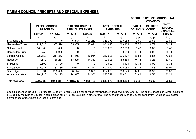# **PARISH COUNCIL PRECEPTS AND SPECIAL EXPENSES**

|                      |                                          |           |                                                    |           |                                         |           | <b>SPECIAL EXPENSES COUNCIL TAX</b><br>AT BAND 'D' |                                   |                                                   |  |
|----------------------|------------------------------------------|-----------|----------------------------------------------------|-----------|-----------------------------------------|-----------|----------------------------------------------------|-----------------------------------|---------------------------------------------------|--|
|                      | <b>PARISH COUNCIL</b><br><b>PRECEPTS</b> |           | <b>DISTRICT COUNCIL</b><br><b>SPECIAL EXPENSES</b> |           | <b>TOTAL SPECIAL</b><br><b>EXPENSES</b> |           | <b>PARISH</b><br><b>COUNCILS</b>                   | <b>DISTRICT</b><br><b>COUNCIL</b> | <b>TOTAL</b><br><b>SPECIAL</b><br><b>EXPENSES</b> |  |
|                      | 2012-13                                  | 2013-14   | 2012-13                                            | 2013-14   | 2012-13                                 | 2013-14   | 2013-14                                            | 2013-14                           | 2013-14                                           |  |
|                      | £                                        | £         |                                                    |           |                                         |           | £р                                                 | £p                                | £p                                                |  |
| St Albans City       |                                          |           | 746,373                                            | 699,253   | 746,373                                 | 699,253   | 0.00                                               | 29.63                             | 29.63                                             |  |
| Harpenden Town       | 929,010                                  | 905,510   | 135,935                                            | 117,624   | 1,064,945                               | 1,023,134 | 67.52                                              | 8.72                              | 76.24                                             |  |
| Colney Heath         | 160,000                                  | 167,000   |                                                    |           | 160,000                                 | 167,000   | 71.43                                              | 0.00                              | 71.43                                             |  |
| Harpenden Rural      | 3,750                                    | 3,950     |                                                    |           | 3,750                                   | 3,950     | 16.74                                              | 0.00                              | 16.74                                             |  |
| London Colney        | 223,150                                  | 217,863   | 14,456                                             | 19,014    | 237,606                                 | 236,877   | 66.83                                              | 5.85                              | 72.68                                             |  |
| Redbourn             | 177,510                                  | 169,267   | 13,398                                             | 14,313    | 190,908                                 | 183,580   | 74.14                                              | 6.26                              | 80.40                                             |  |
| St Michael           | 2,600                                    | 3,100     |                                                    |           | 2,600                                   | 3,100     | 10.73                                              | 0.00                              | 10.73                                             |  |
| St Stephen           | 381,047                                  | 382,839   | 25,973                                             | 47,241    | 407,020                                 | 430,080   | 62.23                                              | 7.68                              | 69.91                                             |  |
| Sandridge            | 216,091                                  | 205,093   | 58,144                                             | 78,651    | 274,235                                 | 283,744   | 44.01                                              | 16.99                             | 61.00                                             |  |
| Wheathampstead       | 204,225                                  | 204,225   | 24,317                                             | 24,386    | 228,542                                 | 228,611   | 71.68                                              | 8.53                              | 80.21                                             |  |
|                      |                                          |           |                                                    |           |                                         |           |                                                    |                                   |                                                   |  |
| <b>Total/Average</b> | 2,297,383                                | 2,258,847 | 1,018,596                                          | 1,000,483 | 3,315,979                               | 3,259,330 | 36.58                                              | 16.92                             | 53.50                                             |  |

Special expenses include (1) precepts levied by Parish Councils for services they provide in their own areas and (2) the cost of those concurrent functionsprovided by the District Council in some areas but by Parish Councils in other areas. The cost of these District Council concurrent functions is allocatedonly to those areas where services are provided.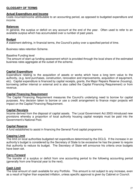# **GLOSSARY OF TERMS**

#### **Actual Expenditure and Income**

Costs incurred/income attributable to an accounting period, as opposed to budgeted expenditure and income.

### **Balances**

In general, the surplus or deficit on any account at the end of the year. Often used to refer to an available surplus which has accumulated over a number of past years.

### **Budget**

A statement defining, in financial terms, the Council's policy over a specified period of time.

Business rates retention Scheme.

#### Baseline Funding level

The amount of start up funding assessment which is provided through the local share of the estimated business rates aggregate at the outset of the scheme.

#### **Capital Expenditure**

Expenditure relating to the acquisition of assets or works which have a long term value to the authority, (e.g. land purchases, construction, renovation and improvements, acquisition of equipment, etc). Capital expenditure is financed by capital receipts, grants, the Major Repairs Reserve (housing), borrowing (either internal or external and is also called the Capital Financing Requirement) or from revenue.

#### **Capital Financing Requirement**

The Capital Financing Requirement measures the Council's underlying need to borrow for capital purposes. Any decision taken to borrow or use a credit arrangement to finance major projects will impact on the Capital Financing Requirement.

#### **Capital Receipts**

Income derived from the disposal of capital assets. The Local Government Act 2003 introduced new provisions whereby a proportion of local authority housing capital receipts must be paid into the Government's National Pool.

#### **Capital Reserve**

A fund established to assist in financing the General Fund capital programme.

#### **Capping Limit**

The limit on local authorities budgeted net expenditure determined by the DCLG. If the increase in an authority's budget is considered by the Secretary of State to be excessive he has the power to require that authority to reduce its budget. The Secretary of State will announce his criteria once budgets have been set.

#### **Carry Forward**

The transfer of a surplus or deficit from one accounting period to the following accounting period (generally from one financial year to the next).

## **Cash Limit**

The total amount of cash available for any Portfolio. This amount is not subject to any increase, even as a result of higher than expected inflation, unless specific approval is given by Cabinet or Council.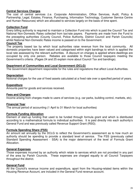# **Central Services Charges**

The cost of central services (i.e. Corporate Administration, Office Services, Audit, Policy & Partnership, Legal, Estates, Finance, Purchasing, Information Technology, Customer Service Centre and Human Resources) which are allocated to services largely on the basis of time spent.

# **Collection Fund**

Every billing authority is required to maintain a Collection Fund into which is paid the Council Tax and National Non-Domestic Rates collected from tax/rate payers. Payments are made from the Fund to the precepting authorities (County Council, Police Authority, District Council and Parish Councils) whilst National Non-Domestic Rates income is passed on to the Government.

# **Council Tax**

The property based tax by which local authorities raise revenue from the local community. All domestic properties have been valued and categorised within eight bandings to which is applied the local rate assessed by the relevant authorities. A discount on charges is applied where dwellings are occupied by only one person. Rebates are available to those Council taxpayers meeting the Government's criteria. (Pages 24 and 25 explain more about Council Tax and bandings).

# **Department of Communities and Local Government (DCLG)**

The Government department responsible for the rules and regulations that affect Local Authorities.

# **Depreciation**

Notional charges for the use of fixed assets calculated at a fixed rate over a specified period of years.

# **Expenditure**

Amounts paid for goods and services received.

## **Fees and Charges**

Income arising from charges made to users of services (e.g. car parks, building control, markets, etc).

# **Financial Year**

The annual period of accounting (1 April to 31 March for local authorities)

## **Formula Funding Allocation**

Element of start-up funding that used to be funded through formula grant and which is distributed according to a mathematical formula to individual authorities. It is paid directly into each authority's General Fund and was previously called Revenue Support Grant (RSG).

## **Formula Spending Share (FSS)**

An amount set annually by the DCLG to reflect the Government's assessment as to how much an authority should be spending to provide a standard level of service. The FSS (previously called Standard Spending Assessment - SSA) is the major determinant of the level of Formula Grant Allocation.

## **General Expenses**

Those expenses incurred by an authority which relate to services which are not provided in any part of the area by Parish Councils. These expenses are charged equally to all Council Taxpayers throughout the district.

# **General Fund**

All the Council's revenue income and expenditure, apart from the Housing-related items within the Housing Revenue Account, are included in the General Fund revenue account.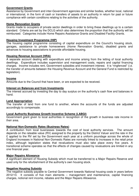# **Government Grants**

Assistance by Government and inter-Government agencies and similar bodies, whether local, national or international, in the form of cash or transfers of assets to an authority in return for past or future compliance with certain conditions relating to the activities of the authority.

# **Home Renovation Grants**

Grants made to occupiers of private sector dwellings in order to bring these dwellings up to a certain standard. Criteria are set by the DCLG which also determines the proportion that the authority will be reimbursed. Categories include Home Repairs Assistance Grants and Disabled Facility Grants.

# **Housing Investment Programme (HIP)**

The housing capital programme consisting of capital expenditure on the Council's housing stock, garages, assistance to private homeowners (Home Renovation Grants), disabled grants and advances to housing associations to provide affordable housing.

# **Housing Revenue Account (HRA)**

A separate account dealing with expenditure and income arising from the letting of local authority dwellings. Expenditure includes supervision and management costs, repairs and capital financing charges. Income includes rent, Government subsidies and investment interest. It is "ringfenced" (i.e. the transfer of amounts between the Housing Revenue Account and the General Fund is restricted by legislation).

## **Income**

Amounts due to the Council that have been, or are expected to be received.

## **Interest on Balances and from Investments**

The interest accrued by investing the day to day surplus on the authority's cash flow and balances in hand.

# **Land Appropriation**

The transfer of land from one fund to another, where the accounts of the funds are adjusted accordingly to compensate.

## **Local Authority Business Growth Incentive Scheme (LABGI)**

Government grant given to local authorities in recognition of the growth in business rate income in their area.

## **National Non-Domestic Rates (Business Rates)**

A contribution from local businesses towards the cost of local authority services. The amount depends on the rateable value (RV) assigned to the property by the District Valuer and the rate in the £ applied to the RV set by the Government each year at a uniform poundage across the whole of England Increases in National Non-Domestic Rates are normally linked to increases in the retail price index, although legislation states that revaluations must also take place every five years. A transitional scheme operates so that the effects of changes caused by revaluations are limited in any one financial year.

## **Major Repairs Allowance**

A significant element of Housing Subsidy which must be transferred to a Major Repairs Reserve and used only for the refurbishment of the authority's own housing stock.

## **Negative Housing Subsidy**

The negative subsidy payable to Central Government towards National housing costs in years before 2012/13. It consists of five main elements – management and maintenance, capital financing charges, notional rent income, rebates and the Major Repairs Allowance.